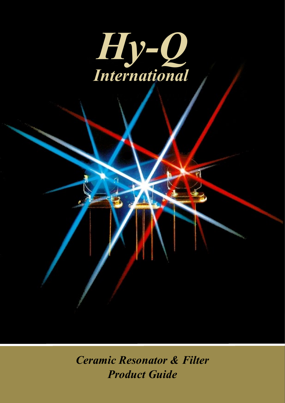

*Ceramic Resonator & Filter Product Guide*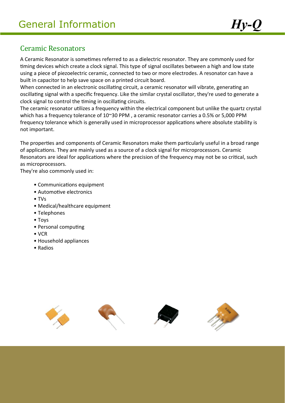### Ceramic Resonators

A Ceramic Resonator is sometimes referred to as a dielectric resonator. They are commonly used for timing devices which create a clock signal. This type of signal oscillates between a high and low state using a piece of piezoelectric ceramic, connected to two or more electrodes. A resonator can have a built in capacitor to help save space on a printed circuit board.

When connected in an electronic oscillating circuit, a ceramic resonator will vibrate, generating an oscillating signal with a specific frequency. Like the similar crystal oscillator, they're used to generate a clock signal to control the timing in oscillating circuits.

The ceramic resonator utilizes a frequency within the electrical component but unlike the quartz crystal which has a frequency tolerance of 10~30 PPM , a ceramic resonator carries a 0.5% or 5,000 PPM frequency tolerance which is generally used in microprocessor applications where absolute stability is not important.

The properties and components of Ceramic Resonators make them particularly useful in a broad range of applications. They are mainly used as a source of a clock signal for microprocessors. Ceramic Resonators are ideal for applications where the precision of the frequency may not be so critical, such as microprocessors.

They're also commonly used in:

- Communications equipment
- Automotive electronics
- TVs
- Medical/healthcare equipment
- Telephones
- Toys
- Personal computing
- VCR
- Household appliances
- Radios

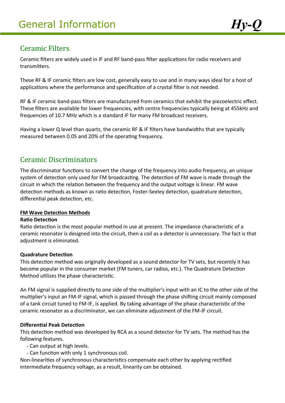## Ceramic Filters

Ceramic filters are widely used in IF and RF band-pass filter applications for radio receivers and transmitters.

These RF & IF ceramic filters are low cost, generally easy to use and in many ways ideal for a host of applications where the performance and specification of a crystal filter is not needed.

RF & IF ceramic band-pass filters are manufactured from ceramics that exhibit the piezoelectric effect. These filters are available for lower frequencies, with centre frequencies typically being at 455kHz and frequencies of 10.7 MHz which is a standard IF for many FM broadcast receivers.

Having a lower Q level than quartz, the ceramic RF & IF filters have bandwidths that are typically measured between 0.05 and 20% of the operating frequency.

### Ceramic Discriminators

The discriminator functions to convert the change of the frequency into audio frequency, an unique system of detection only used for FM broadcasting. The detection of FM wave is made through the circuit in which the relation between the frequency and the output voltage is linear. FM wave detection methods as known as ratio detection, Foster-Seeley detection, quadrature detection, differential peak detection, etc.

#### **FM Wave Detection Methods**

#### **Ratio Detection**

Ratio detection is the most popular method in use at present. The impedance characteristic of a ceramic resonator is designed into the circuit, then a coil as a detector is unnecessary. The fact is that adjustment is eliminated.

#### **Quadrature Detection**

This detection method was originally developed as a sound detector for TV sets, but recently it has become popular in the consumer market (FM tuners, car radios, etc.). The Quadrature Detection Method utilizes the phase characteristic.

An FM signal is supplied directly to one side of the multiplier's input with an IC to the other side of the multiplier's input an FM-IF signal, which is passed through the phase shifting circuit mainly composed of a tank circuit tuned to FM-IF, is applied. By taking advantage of the phase characteristic of the ceramic resonator as a discriminator, we can eliminate adjustment of the FM-IF circuit.

#### **Differential Peak Detection**

This detection method was developed by RCA as a sound detector for TV sets. The method has the following features.

- Can output at high levels.
- Can function with only 1 synchronous coil.

Non-linearities of synchronous characteristics compensate each other by applying rectified intermediate frequency voltage, as a result, linearity can be obtained.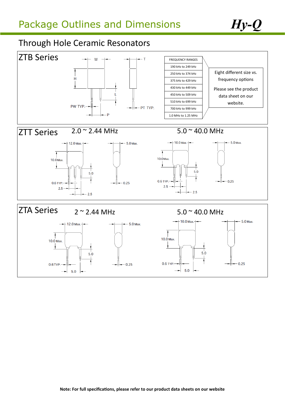## Through Hole Ceramic Resonators

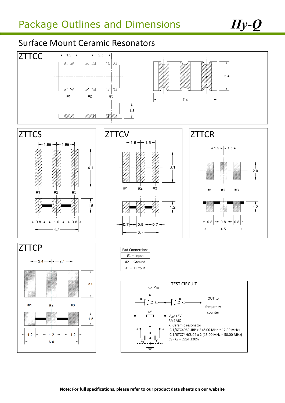# Surface Mount Ceramic Resonators

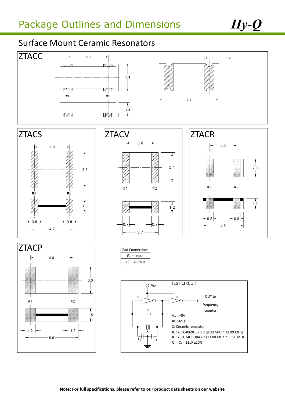## Surface Mount Ceramic Resonators

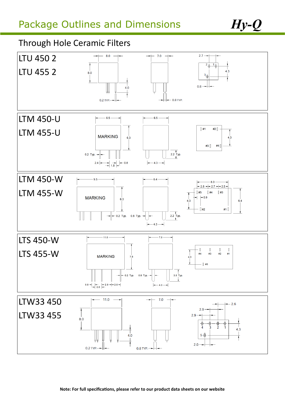## Through Hole Ceramic Filters

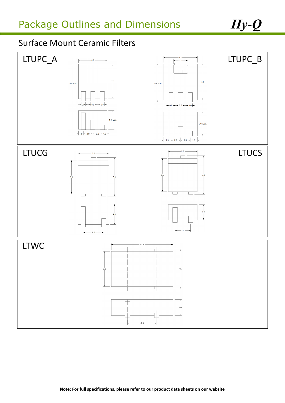# Surface Mount Ceramic Filters

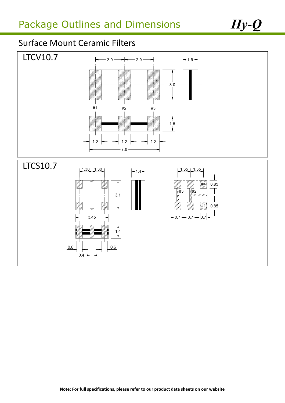# Surface Mount Ceramic Filters